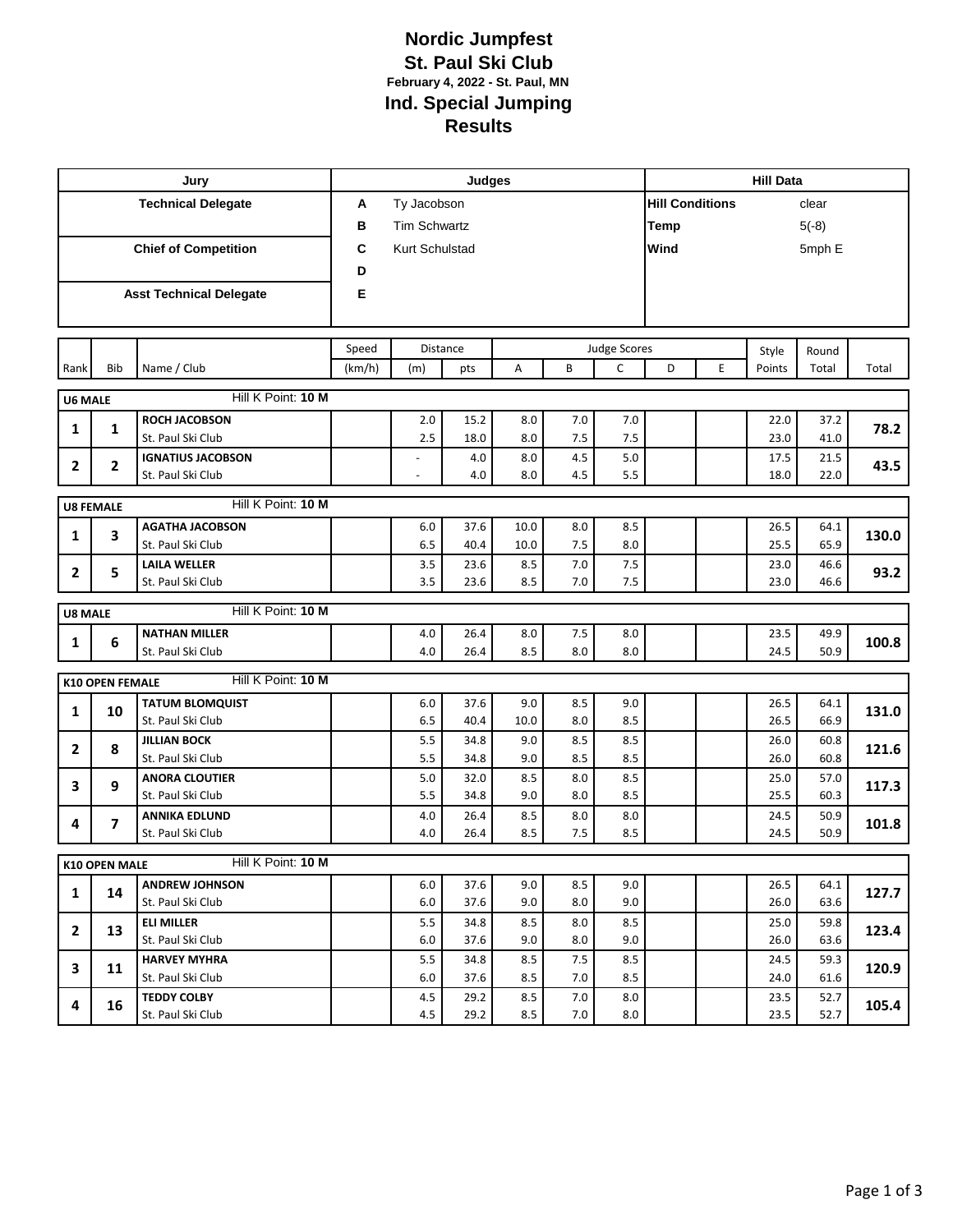## **Nordic Jumpfest St. Paul Ski Club February 4, 2022 - St. Paul, MN Ind. Special Jumping Results**

| Jury                        |                        |                                          |                                   | <b>Hill Data</b>    |              |            |            |            |                        |                        |              |              |       |  |
|-----------------------------|------------------------|------------------------------------------|-----------------------------------|---------------------|--------------|------------|------------|------------|------------------------|------------------------|--------------|--------------|-------|--|
| <b>Technical Delegate</b>   |                        |                                          | A                                 | Ty Jacobson         |              |            |            |            | <b>Hill Conditions</b> |                        |              | clear        |       |  |
|                             |                        |                                          | в                                 | <b>Tim Schwartz</b> |              |            |            |            |                        | <b>Temp</b><br>$5(-8)$ |              |              |       |  |
| <b>Chief of Competition</b> |                        |                                          | C                                 | Kurt Schulstad      |              |            |            |            |                        | Wind<br>5mph E         |              |              |       |  |
|                             |                        |                                          |                                   |                     |              |            |            |            |                        |                        |              |              |       |  |
|                             |                        |                                          | D                                 |                     |              |            |            |            |                        |                        |              |              |       |  |
|                             |                        | <b>Asst Technical Delegate</b>           | Е                                 |                     |              |            |            |            |                        |                        |              |              |       |  |
|                             |                        |                                          |                                   |                     |              |            |            |            |                        |                        |              |              |       |  |
|                             |                        |                                          | Speed<br>Distance<br>Judge Scores |                     |              |            |            |            |                        |                        | Style        | Round        |       |  |
| Rank                        | Bib                    | Name / Club                              | (km/h)                            | (m)<br>pts          |              | A          | B          | C          | D                      | E                      | Points       | Total        | Total |  |
| <b>U6 MALE</b>              |                        | Hill K Point: 10 M                       |                                   |                     |              |            |            |            |                        |                        |              |              |       |  |
|                             |                        | <b>ROCH JACOBSON</b>                     |                                   | 2.0                 | 15.2         | 8.0        | 7.0        | 7.0        |                        |                        | 22.0         | 37.2         |       |  |
| 1                           | 1                      | St. Paul Ski Club                        |                                   | 2.5                 | 18.0         | 8.0        | 7.5        | 7.5        |                        |                        | 23.0         | 41.0         | 78.2  |  |
|                             |                        | <b>IGNATIUS JACOBSON</b>                 |                                   |                     | 4.0          | 8.0        | 4.5        | 5.0        |                        |                        | 17.5         | 21.5         |       |  |
| $\overline{2}$              | $\mathbf{2}$           | St. Paul Ski Club                        |                                   |                     | 4.0          | 8.0        | 4.5        | 5.5        |                        |                        | 18.0         | 22.0         | 43.5  |  |
|                             |                        |                                          |                                   |                     |              |            |            |            |                        |                        |              |              |       |  |
|                             | <b>U8 FEMALE</b>       | Hill K Point: 10 M                       |                                   |                     |              |            |            |            |                        |                        |              |              |       |  |
| $\mathbf{1}$                | 3                      | <b>AGATHA JACOBSON</b>                   |                                   | 6.0                 | 37.6         | 10.0       | 8.0        | 8.5        |                        |                        | 26.5         | 64.1         | 130.0 |  |
|                             |                        | St. Paul Ski Club                        |                                   | 6.5                 | 40.4         | 10.0       | 7.5        | 8.0        |                        |                        | 25.5         | 65.9         |       |  |
| 2                           | 5                      | <b>LAILA WELLER</b><br>St. Paul Ski Club |                                   | 3.5<br>3.5          | 23.6<br>23.6 | 8.5<br>8.5 | 7.0<br>7.0 | 7.5<br>7.5 |                        |                        | 23.0<br>23.0 | 46.6<br>46.6 | 93.2  |  |
|                             |                        |                                          |                                   |                     |              |            |            |            |                        |                        |              |              |       |  |
| <b>U8 MALE</b>              |                        | Hill K Point: 10 M                       |                                   |                     |              |            |            |            |                        |                        |              |              |       |  |
| 1                           | 6                      | <b>NATHAN MILLER</b>                     |                                   | 4.0                 | 26.4         | 8.0        | 7.5        | 8.0        |                        |                        | 23.5         | 49.9         | 100.8 |  |
|                             |                        | St. Paul Ski Club                        |                                   | 4.0                 | 26.4         | 8.5        | 8.0        | 8.0        |                        |                        | 24.5         | 50.9         |       |  |
|                             | <b>K10 OPEN FEMALE</b> | Hill K Point: 10 M                       |                                   |                     |              |            |            |            |                        |                        |              |              |       |  |
|                             |                        | <b>TATUM BLOMQUIST</b>                   |                                   | 6.0                 | 37.6         | 9.0        | 8.5        | 9.0        |                        |                        | 26.5         | 64.1         |       |  |
| $\mathbf{1}$                | 10                     | St. Paul Ski Club                        |                                   | 6.5                 | 40.4         | 10.0       | 8.0        | 8.5        |                        |                        | 26.5         | 66.9         | 131.0 |  |
|                             |                        | <b>JILLIAN BOCK</b>                      |                                   | 5.5                 | 34.8         | 9.0        | 8.5        | 8.5        |                        |                        | 26.0         | 60.8         |       |  |
| $\mathbf{2}$                | 8                      | St. Paul Ski Club                        |                                   | 5.5                 | 34.8         | 9.0        | 8.5        | 8.5        |                        |                        | 26.0         | 60.8         | 121.6 |  |
|                             | 9                      | <b>ANORA CLOUTIER</b>                    |                                   | 5.0                 | 32.0         | 8.5        | 8.0        | 8.5        |                        |                        | 25.0         | 57.0         | 117.3 |  |
| 3                           |                        | St. Paul Ski Club                        |                                   | 5.5                 | 34.8         | 9.0        | 8.0        | 8.5        |                        |                        | 25.5         | 60.3         |       |  |
| 4                           | 7                      | <b>ANNIKA EDLUND</b>                     |                                   | 4.0                 | 26.4         | 8.5        | 8.0        | 8.0        |                        |                        | 24.5         | 50.9         | 101.8 |  |
|                             |                        | St. Paul Ski Club                        |                                   | 4.0                 | 26.4         | 8.5        | 7.5        | 8.5        |                        |                        | 24.5         | 50.9         |       |  |
|                             | K10 OPEN MALE          | Hill K Point: 10 M                       |                                   |                     |              |            |            |            |                        |                        |              |              |       |  |
|                             |                        | <b>ANDREW JOHNSON</b>                    |                                   | 6.0                 | 37.6         | 9.0        | 8.5        | 9.0        |                        |                        | 26.5         | 64.1         |       |  |
| 1                           | 14                     | St. Paul Ski Club                        |                                   | 6.0                 | 37.6         | 9.0        | 8.0        | 9.0        |                        |                        | 26.0         | 63.6         | 127.7 |  |
|                             |                        | <b>ELI MILLER</b>                        |                                   | 5.5                 | 34.8         | 8.5        | 8.0        | 8.5        |                        |                        | 25.0         | 59.8         |       |  |
| $\mathbf{2}$                | 13                     | St. Paul Ski Club                        |                                   | 6.0                 | 37.6         | 9.0        | 8.0        | 9.0        |                        |                        | 26.0         | 63.6         | 123.4 |  |
| 3                           | 11                     | <b>HARVEY MYHRA</b>                      |                                   | 5.5                 | 34.8         | 8.5        | 7.5        | 8.5        |                        |                        | 24.5         | 59.3         | 120.9 |  |
|                             |                        | St. Paul Ski Club                        |                                   | 6.0                 | 37.6         | 8.5        | 7.0        | 8.5        |                        |                        | 24.0         | 61.6         |       |  |
| 4                           | 16                     | <b>TEDDY COLBY</b>                       |                                   | 4.5                 | 29.2         | 8.5        | 7.0        | 8.0        |                        |                        | 23.5         | 52.7         | 105.4 |  |
|                             |                        | St. Paul Ski Club                        |                                   | 4.5                 | 29.2         | 8.5        | 7.0        | 8.0        |                        |                        | 23.5         | 52.7         |       |  |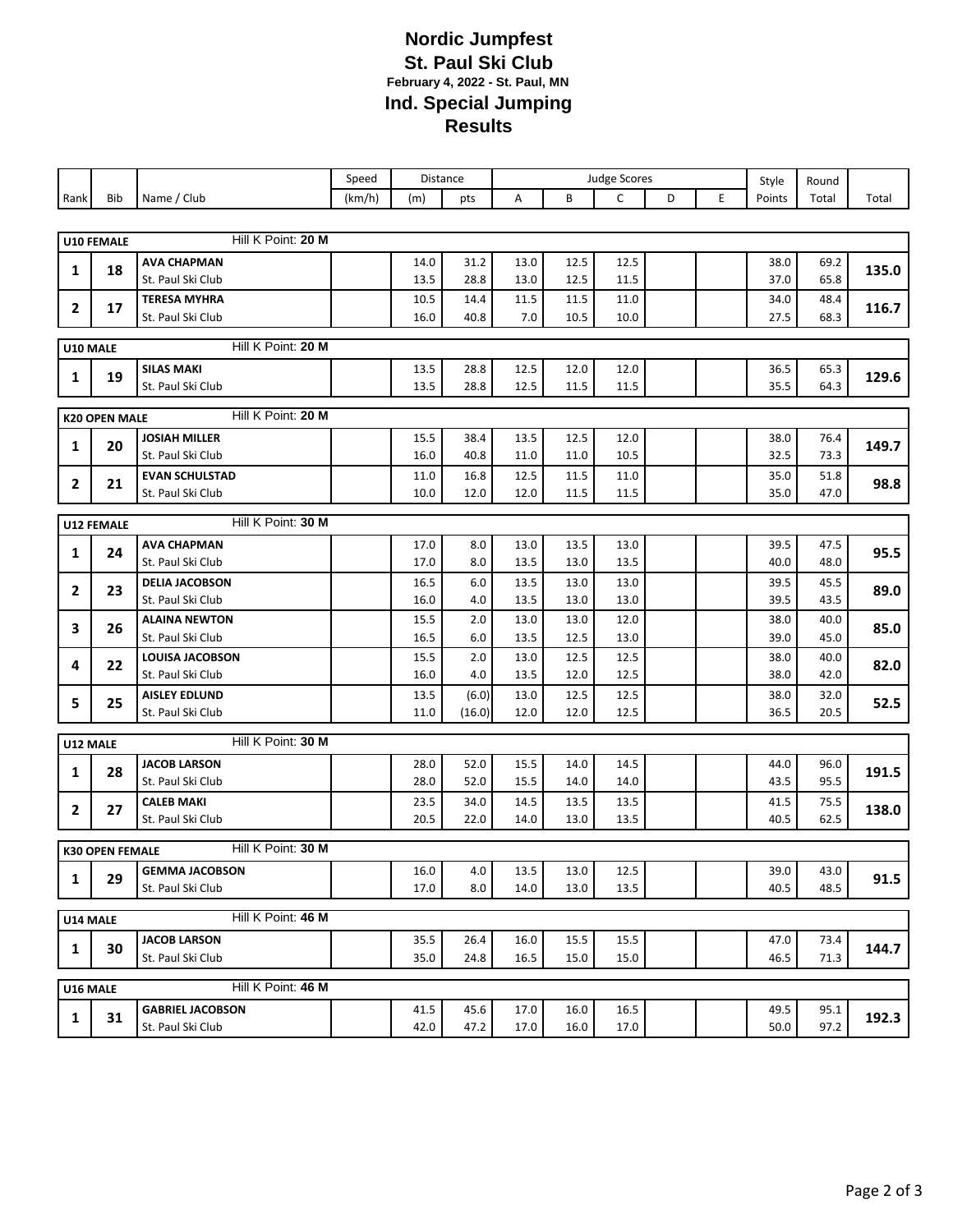## **Nordic Jumpfest St. Paul Ski Club February 4, 2022 - St. Paul, MN Ind. Special Jumping Results**

|                |                                            |                         | Speed  | Distance |         | <b>Judge Scores</b> |      |      |   | Style | Round  |       |       |  |
|----------------|--------------------------------------------|-------------------------|--------|----------|---------|---------------------|------|------|---|-------|--------|-------|-------|--|
| Rank           | Bib                                        | Name / Club             | (km/h) | (m)      | pts     | Α                   | B    | C    | D | E     | Points | Total | Total |  |
|                |                                            |                         |        |          |         |                     |      |      |   |       |        |       |       |  |
|                | <b>U10 FEMALE</b>                          | Hill K Point: 20 M      |        |          |         |                     |      |      |   |       |        |       |       |  |
| 1              | 18                                         | <b>AVA CHAPMAN</b>      |        | 14.0     | 31.2    | 13.0                | 12.5 | 12.5 |   |       | 38.0   | 69.2  | 135.0 |  |
|                |                                            | St. Paul Ski Club       |        | 13.5     | 28.8    | 13.0                | 12.5 | 11.5 |   |       | 37.0   | 65.8  |       |  |
| $\mathbf{2}$   | 17                                         | <b>TERESA MYHRA</b>     |        | 10.5     | 14.4    | 11.5                | 11.5 | 11.0 |   |       | 34.0   | 48.4  | 116.7 |  |
|                |                                            | St. Paul Ski Club       |        | 16.0     | 40.8    | 7.0                 | 10.5 | 10.0 |   |       | 27.5   | 68.3  |       |  |
| U10 MALE       |                                            | Hill K Point: 20 M      |        |          |         |                     |      |      |   |       |        |       |       |  |
| 1              | 19                                         | <b>SILAS MAKI</b>       |        | 13.5     | 28.8    | 12.5                | 12.0 | 12.0 |   |       | 36.5   | 65.3  | 129.6 |  |
|                |                                            | St. Paul Ski Club       |        | 13.5     | 28.8    | 12.5                | 11.5 | 11.5 |   |       | 35.5   | 64.3  |       |  |
|                | Hill K Point: 20 M<br><b>K20 OPEN MALE</b> |                         |        |          |         |                     |      |      |   |       |        |       |       |  |
|                |                                            | <b>JOSIAH MILLER</b>    |        | 15.5     | 38.4    | 13.5                | 12.5 | 12.0 |   |       | 38.0   | 76.4  |       |  |
| 1              | 20                                         | St. Paul Ski Club       |        | 16.0     | 40.8    | 11.0                | 11.0 | 10.5 |   |       | 32.5   | 73.3  | 149.7 |  |
|                |                                            | <b>EVAN SCHULSTAD</b>   |        | 11.0     | 16.8    | 12.5                | 11.5 | 11.0 |   |       | 35.0   | 51.8  |       |  |
| $\overline{2}$ | 21                                         | St. Paul Ski Club       |        | 10.0     | 12.0    | 12.0                | 11.5 | 11.5 |   |       | 35.0   | 47.0  | 98.8  |  |
|                | Hill K Point: 30 M<br>U12 FEMALE           |                         |        |          |         |                     |      |      |   |       |        |       |       |  |
|                |                                            | <b>AVA CHAPMAN</b>      |        | 17.0     | $8.0\,$ | 13.0                | 13.5 | 13.0 |   |       | 39.5   | 47.5  |       |  |
| 1              | 24                                         | St. Paul Ski Club       |        | 17.0     | 8.0     | 13.5                | 13.0 | 13.5 |   |       | 40.0   | 48.0  | 95.5  |  |
|                |                                            | <b>DELIA JACOBSON</b>   |        | 16.5     | 6.0     | 13.5                | 13.0 | 13.0 |   |       | 39.5   | 45.5  |       |  |
| 2              | 23                                         | St. Paul Ski Club       |        | 16.0     | 4.0     | 13.5                | 13.0 | 13.0 |   |       | 39.5   | 43.5  | 89.0  |  |
| 3              | 26                                         | <b>ALAINA NEWTON</b>    |        | 15.5     | 2.0     | 13.0                | 13.0 | 12.0 |   |       | 38.0   | 40.0  | 85.0  |  |
|                |                                            | St. Paul Ski Club       |        | 16.5     | 6.0     | 13.5                | 12.5 | 13.0 |   |       | 39.0   | 45.0  |       |  |
| 4              | 22                                         | <b>LOUISA JACOBSON</b>  |        | 15.5     | 2.0     | 13.0                | 12.5 | 12.5 |   |       | 38.0   | 40.0  | 82.0  |  |
|                |                                            | St. Paul Ski Club       |        | 16.0     | 4.0     | 13.5                | 12.0 | 12.5 |   |       | 38.0   | 42.0  |       |  |
| 5              | 25                                         | <b>AISLEY EDLUND</b>    |        | 13.5     | (6.0)   | 13.0                | 12.5 | 12.5 |   |       | 38.0   | 32.0  | 52.5  |  |
|                |                                            | St. Paul Ski Club       |        | 11.0     | (16.0)  | 12.0                | 12.0 | 12.5 |   |       | 36.5   | 20.5  |       |  |
| U12 MALE       |                                            | Hill K Point: 30 M      |        |          |         |                     |      |      |   |       |        |       |       |  |
| 1              | 28                                         | <b>JACOB LARSON</b>     |        | 28.0     | 52.0    | 15.5                | 14.0 | 14.5 |   |       | 44.0   | 96.0  | 191.5 |  |
|                |                                            | St. Paul Ski Club       |        | 28.0     | 52.0    | 15.5                | 14.0 | 14.0 |   |       | 43.5   | 95.5  |       |  |
| 2              | 27                                         | <b>CALEB MAKI</b>       |        | 23.5     | 34.0    | 14.5                | 13.5 | 13.5 |   |       | 41.5   | 75.5  | 138.0 |  |
|                |                                            | St. Paul Ski Club       |        | 20.5     | 22.0    | 14.0                | 13.0 | 13.5 |   |       | 40.5   | 62.5  |       |  |
|                | <b>K30 OPEN FEMALE</b>                     | Hill K Point: 30 M      |        |          |         |                     |      |      |   |       |        |       |       |  |
| 1              | 29                                         | <b>GEMMA JACOBSON</b>   |        | 16.0     | 4.0     | 13.5                | 13.0 | 12.5 |   |       | 39.0   | 43.0  | 91.5  |  |
|                |                                            | St. Paul Ski Club       |        | 17.0     | 8.0     | 14.0                | 13.0 | 13.5 |   |       | 40.5   | 48.5  |       |  |
| U14 MALE       |                                            | Hill K Point: 46 M      |        |          |         |                     |      |      |   |       |        |       |       |  |
|                |                                            | <b>JACOB LARSON</b>     |        | 35.5     | 26.4    | 16.0                | 15.5 | 15.5 |   |       | 47.0   | 73.4  |       |  |
| 1              | 30                                         | St. Paul Ski Club       |        | 35.0     | 24.8    | 16.5                | 15.0 | 15.0 |   |       | 46.5   | 71.3  | 144.7 |  |
|                |                                            |                         |        |          |         |                     |      |      |   |       |        |       |       |  |
| U16 MALE       |                                            | Hill K Point: 46 M      |        |          |         |                     |      |      |   |       |        |       |       |  |
| 1              | 31                                         | <b>GABRIEL JACOBSON</b> |        | 41.5     | 45.6    | 17.0                | 16.0 | 16.5 |   |       | 49.5   | 95.1  | 192.3 |  |
|                |                                            | St. Paul Ski Club       |        | 42.0     | 47.2    | 17.0                | 16.0 | 17.0 |   |       | 50.0   | 97.2  |       |  |